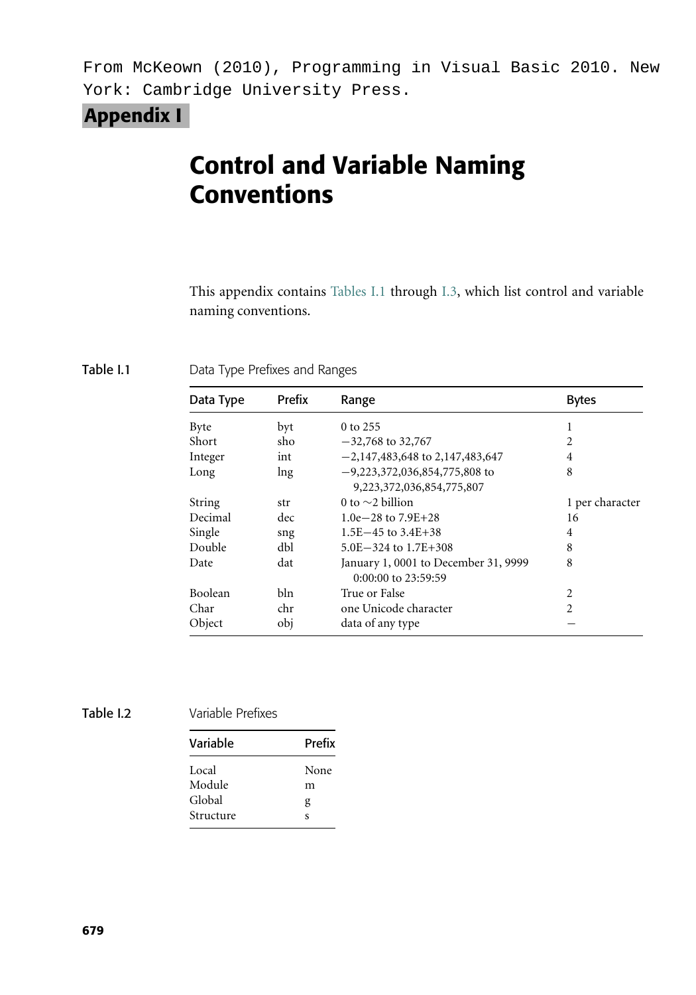From McKeown (2010), Programming in Visual Basic 2010. New York: Cambridge University Press.

## Appendix I

# Control and Variable Naming Conventions

This appendix contains Tables I.1 through I.3, which list control and variable naming conventions.

Table I.1 Data Type Prefixes and Ranges

| Data Type   | Prefix | Range                                                        | <b>Bytes</b>    |
|-------------|--------|--------------------------------------------------------------|-----------------|
| <b>Byte</b> | byt    | 0 to 255                                                     |                 |
| Short       | sho    | $-32,768$ to 32,767                                          | $\overline{c}$  |
| Integer     | int    | $-2,147,483,648$ to 2,147,483,647                            | 4               |
| Long        | lng    | $-9,223,372,036,854,775,808$ to<br>9,223,372,036,854,775,807 | 8               |
| String      | str    | 0 to $\sim$ 2 billion                                        | 1 per character |
| Decimal     | dec    | 1.0e $-28$ to $7.9E + 28$                                    | 16              |
| Single      | sng    | $1.5E - 45$ to $3.4E + 38$                                   | 4               |
| Double      | dbl    | $5.0E - 324$ to $1.7E + 308$                                 | 8               |
| Date        | dat    | January 1, 0001 to December 31, 9999<br>0:00:00 to 23:59:59  | 8               |
| Boolean     | bln    | True or False                                                | 2               |
| Char        | chr    | one Unicode character                                        | $\overline{c}$  |
| Object      | obj    | data of any type                                             |                 |

Table I.2 Variable Prefixes

| Variable  | Prefix |  |
|-----------|--------|--|
| Local     | None   |  |
| Module    | m      |  |
| Global    | g      |  |
| Structure | S      |  |